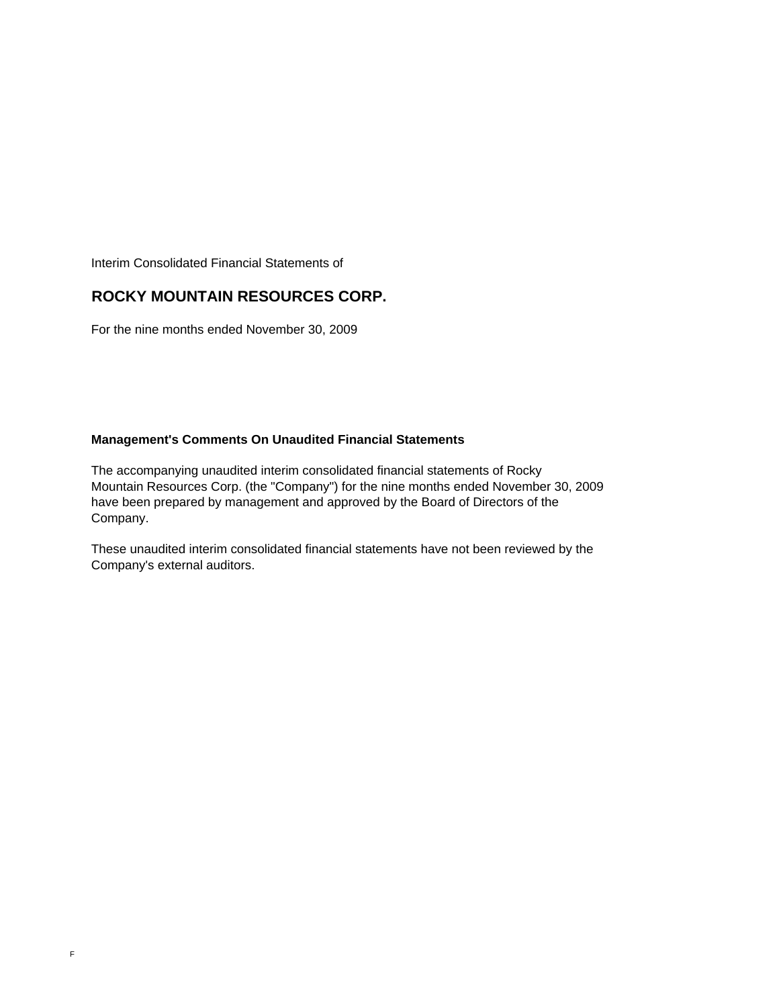Interim Consolidated Financial Statements of

## **ROCKY MOUNTAIN RESOURCES CORP.**

For the nine months ended November 30, 2009

## **Management's Comments On Unaudited Financial Statements**

The accompanying unaudited interim consolidated financial statements of Rocky Mountain Resources Corp. (the "Company") for the nine months ended November 30, 2009 have been prepared by management and approved by the Board of Directors of the Company.

These unaudited interim consolidated financial statements have not been reviewed by the Company's external auditors.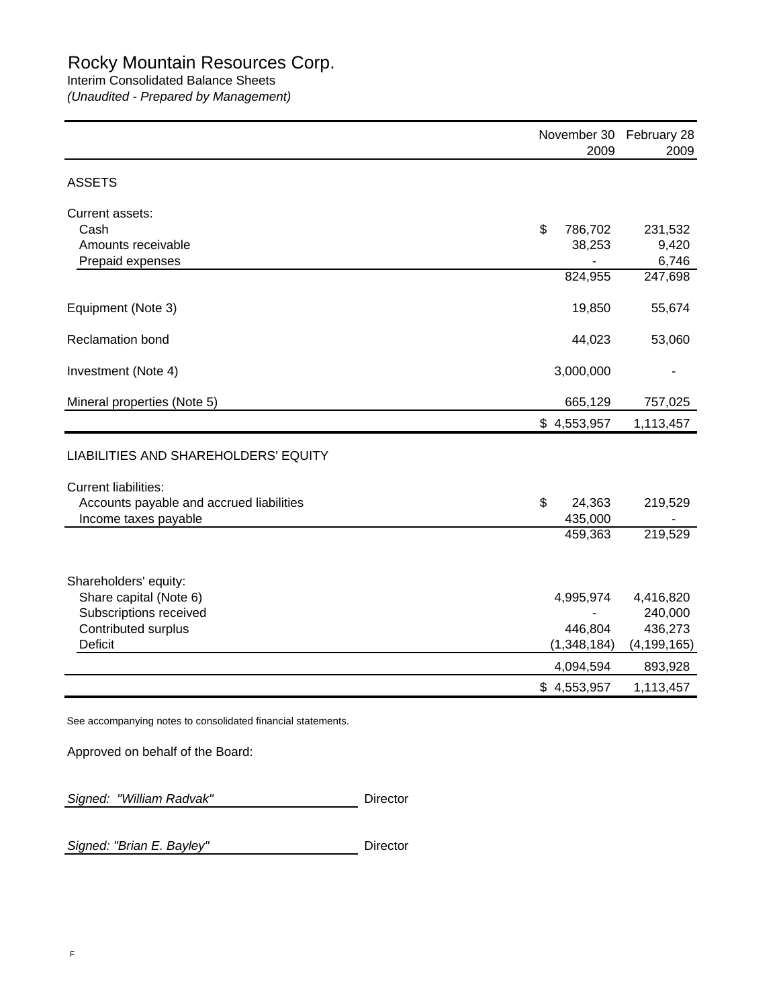## Interim Consolidated Balance Sheets

*(Unaudited - Prepared by Management)*

|                                                                  | 2009                    | November 30 February 28<br>2009 |
|------------------------------------------------------------------|-------------------------|---------------------------------|
| <b>ASSETS</b>                                                    |                         |                                 |
| Current assets:<br>Cash                                          | \$<br>786,702           | 231,532                         |
| Amounts receivable<br>Prepaid expenses                           | 38,253                  | 9,420<br>6,746                  |
|                                                                  | 824,955                 | 247,698                         |
| Equipment (Note 3)                                               | 19,850                  | 55,674                          |
| <b>Reclamation bond</b>                                          | 44,023                  | 53,060                          |
| Investment (Note 4)                                              | 3,000,000               |                                 |
| Mineral properties (Note 5)                                      | 665,129                 | 757,025                         |
|                                                                  | \$4,553,957             | 1,113,457                       |
| LIABILITIES AND SHAREHOLDERS' EQUITY                             |                         |                                 |
| <b>Current liabilities:</b>                                      |                         |                                 |
| Accounts payable and accrued liabilities<br>Income taxes payable | \$<br>24,363<br>435,000 | 219,529                         |
|                                                                  | 459,363                 | 219,529                         |
| Shareholders' equity:                                            |                         |                                 |
| Share capital (Note 6)<br>Subscriptions received                 | 4,995,974               | 4,416,820<br>240,000            |
| Contributed surplus                                              | 446,804                 | 436,273                         |
| <b>Deficit</b>                                                   | (1,348,184)             | (4, 199, 165)                   |
|                                                                  | 4,094,594               | 893,928                         |
|                                                                  | \$4,553,957             | 1,113,457                       |

Approved on behalf of the Board:

Signed: "William Radvak" **Director** 

Signed: "Brian E. Bayley" **Director**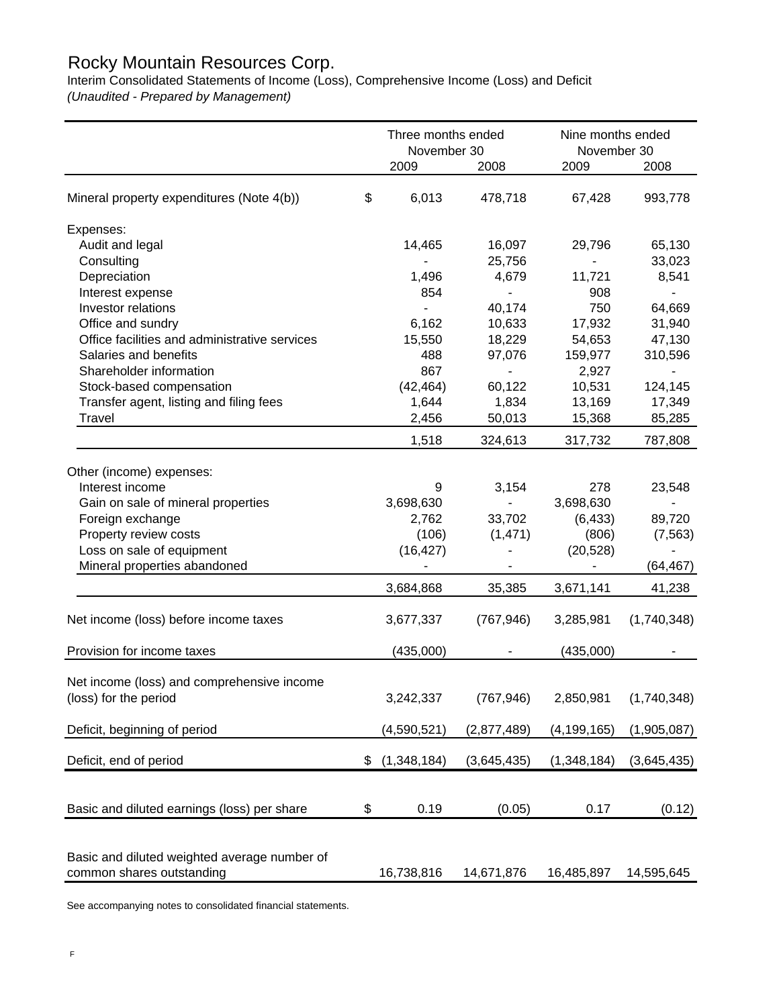# Rocky Mountain Resources Corp.

Interim Consolidated Statements of Income (Loss), Comprehensive Income (Loss) and Deficit *(Unaudited - Prepared by Management)*

|                                                                     | Three months ended<br>November 30 |                 | Nine months ended<br>November 30 |                   |
|---------------------------------------------------------------------|-----------------------------------|-----------------|----------------------------------|-------------------|
|                                                                     | 2009                              | 2008            | 2009                             | 2008              |
| Mineral property expenditures (Note 4(b))                           | \$<br>6,013                       | 478,718         | 67,428                           | 993,778           |
| Expenses:                                                           |                                   |                 |                                  |                   |
| Audit and legal                                                     | 14,465                            | 16,097          | 29,796                           | 65,130            |
| Consulting                                                          |                                   | 25,756          |                                  | 33,023            |
| Depreciation                                                        | 1,496                             | 4,679           | 11,721                           | 8,541             |
| Interest expense                                                    | 854                               | ä,              | 908                              | ٠                 |
| Investor relations                                                  |                                   | 40,174          | 750                              | 64,669            |
| Office and sundry                                                   | 6,162                             | 10,633          | 17,932                           | 31,940            |
| Office facilities and administrative services                       | 15,550                            | 18,229          | 54,653                           | 47,130            |
| Salaries and benefits                                               | 488                               | 97,076          | 159,977                          | 310,596           |
| Shareholder information                                             | 867                               |                 | 2,927                            |                   |
| Stock-based compensation<br>Transfer agent, listing and filing fees | (42, 464)<br>1,644                | 60,122<br>1,834 | 10,531<br>13,169                 | 124,145<br>17,349 |
| Travel                                                              | 2,456                             | 50,013          | 15,368                           | 85,285            |
|                                                                     |                                   |                 |                                  |                   |
|                                                                     | 1,518                             | 324,613         | 317,732                          | 787,808           |
| Other (income) expenses:                                            |                                   |                 |                                  |                   |
| Interest income                                                     | 9                                 | 3,154           | 278                              | 23,548            |
| Gain on sale of mineral properties                                  | 3,698,630                         | L.              | 3,698,630                        |                   |
| Foreign exchange                                                    | 2,762                             | 33,702          | (6, 433)                         | 89,720            |
| Property review costs                                               | (106)                             | (1,471)         | (806)                            | (7, 563)          |
| Loss on sale of equipment                                           | (16, 427)                         |                 | (20, 528)                        |                   |
| Mineral properties abandoned                                        |                                   |                 |                                  | (64, 467)         |
|                                                                     | 3,684,868                         | 35,385          | 3,671,141                        | 41,238            |
| Net income (loss) before income taxes                               | 3,677,337                         | (767, 946)      | 3,285,981                        | (1,740,348)       |
| Provision for income taxes                                          | (435,000)                         |                 | (435,000)                        |                   |
|                                                                     |                                   |                 |                                  |                   |
| Net income (loss) and comprehensive income                          |                                   |                 |                                  |                   |
| (loss) for the period                                               | 3,242,337                         | (767, 946)      | 2,850,981                        | (1,740,348)       |
| Deficit, beginning of period                                        | (4,590,521)                       | (2,877,489)     | (4, 199, 165)                    | (1,905,087)       |
|                                                                     |                                   |                 |                                  |                   |
| Deficit, end of period                                              | \$<br>(1,348,184)                 | (3,645,435)     | (1,348,184)                      | (3,645,435)       |
|                                                                     |                                   |                 |                                  |                   |
| Basic and diluted earnings (loss) per share                         | \$<br>0.19                        | (0.05)          | 0.17                             | (0.12)            |
|                                                                     |                                   |                 |                                  |                   |
| Basic and diluted weighted average number of                        |                                   |                 |                                  |                   |
| common shares outstanding                                           | 16,738,816                        | 14,671,876      | 16,485,897                       | 14,595,645        |

See accompanying notes to consolidated financial statements.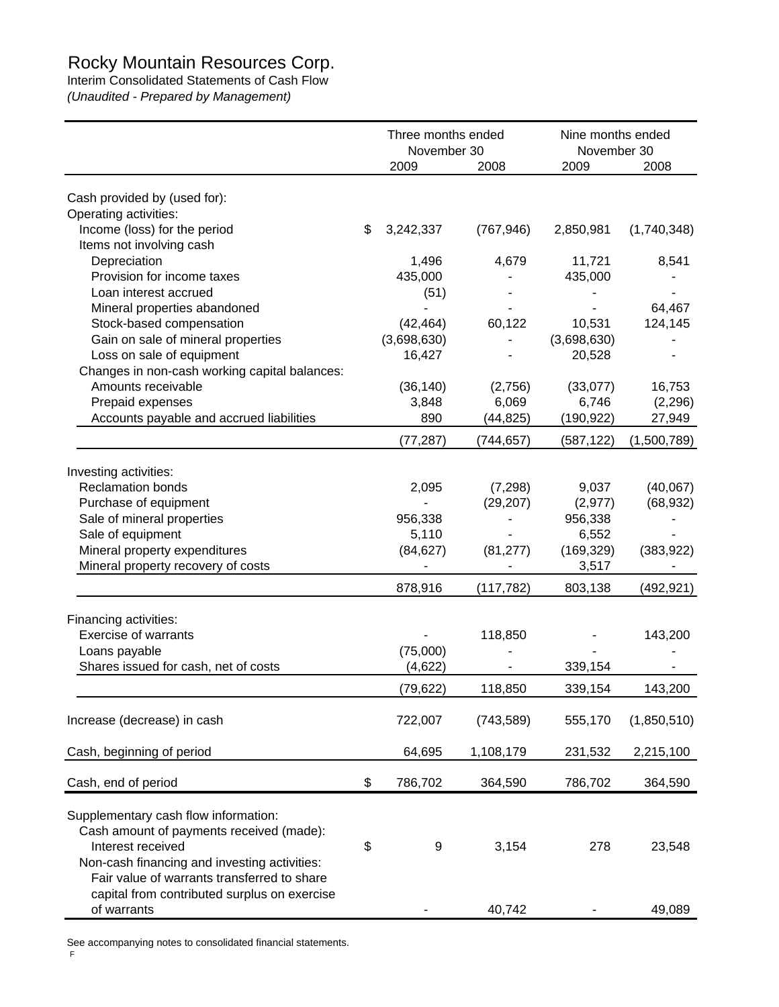# Rocky Mountain Resources Corp.

Interim Consolidated Statements of Cash Flow

*(Unaudited - Prepared by Management)*

|                                                                                                                                                                                                                                                      | Three months ended<br>November 30 |                          | Nine months ended<br>November 30 |             |
|------------------------------------------------------------------------------------------------------------------------------------------------------------------------------------------------------------------------------------------------------|-----------------------------------|--------------------------|----------------------------------|-------------|
|                                                                                                                                                                                                                                                      | 2009                              | 2008                     | 2009                             | 2008        |
| Cash provided by (used for):                                                                                                                                                                                                                         |                                   |                          |                                  |             |
| Operating activities:                                                                                                                                                                                                                                |                                   |                          |                                  |             |
| Income (loss) for the period                                                                                                                                                                                                                         | \$<br>3,242,337                   | (767, 946)               | 2,850,981                        | (1,740,348) |
| Items not involving cash                                                                                                                                                                                                                             |                                   |                          |                                  |             |
| Depreciation                                                                                                                                                                                                                                         | 1,496                             | 4,679                    | 11,721                           | 8,541       |
| Provision for income taxes                                                                                                                                                                                                                           | 435,000                           |                          | 435,000                          |             |
| Loan interest accrued                                                                                                                                                                                                                                | (51)                              |                          |                                  |             |
| Mineral properties abandoned                                                                                                                                                                                                                         |                                   |                          |                                  | 64,467      |
| Stock-based compensation                                                                                                                                                                                                                             | (42, 464)                         | 60,122                   | 10,531                           | 124,145     |
| Gain on sale of mineral properties                                                                                                                                                                                                                   | (3,698,630)                       |                          | (3,698,630)                      |             |
| Loss on sale of equipment                                                                                                                                                                                                                            | 16,427                            |                          | 20,528                           |             |
| Changes in non-cash working capital balances:                                                                                                                                                                                                        |                                   |                          |                                  |             |
| Amounts receivable                                                                                                                                                                                                                                   | (36, 140)                         | (2,756)                  | (33,077)                         | 16,753      |
| Prepaid expenses                                                                                                                                                                                                                                     | 3,848                             | 6,069                    | 6,746                            | (2, 296)    |
| Accounts payable and accrued liabilities                                                                                                                                                                                                             | 890                               | (44, 825)                | (190, 922)                       | 27,949      |
|                                                                                                                                                                                                                                                      | (77, 287)                         | (744, 657)               | (587, 122)                       | (1,500,789) |
|                                                                                                                                                                                                                                                      |                                   |                          |                                  |             |
| Investing activities:<br><b>Reclamation bonds</b>                                                                                                                                                                                                    | 2,095                             | (7, 298)                 | 9,037                            | (40,067)    |
| Purchase of equipment                                                                                                                                                                                                                                |                                   | (29, 207)                | (2, 977)                         | (68, 932)   |
| Sale of mineral properties                                                                                                                                                                                                                           | 956,338                           | $\overline{\phantom{a}}$ | 956,338                          |             |
| Sale of equipment                                                                                                                                                                                                                                    | 5,110                             |                          | 6,552                            |             |
| Mineral property expenditures                                                                                                                                                                                                                        | (84, 627)                         | (81, 277)                | (169, 329)                       | (383, 922)  |
| Mineral property recovery of costs                                                                                                                                                                                                                   |                                   |                          | 3,517                            |             |
|                                                                                                                                                                                                                                                      | 878,916                           |                          |                                  |             |
|                                                                                                                                                                                                                                                      |                                   | (117, 782)               | 803,138                          | (492, 921)  |
| Financing activities:                                                                                                                                                                                                                                |                                   |                          |                                  |             |
| <b>Exercise of warrants</b>                                                                                                                                                                                                                          |                                   | 118,850                  |                                  | 143,200     |
| Loans payable                                                                                                                                                                                                                                        | (75,000)                          |                          |                                  |             |
| Shares issued for cash, net of costs                                                                                                                                                                                                                 | (4,622)                           |                          | 339,154                          |             |
|                                                                                                                                                                                                                                                      | (79, 622)                         | 118,850                  | 339,154                          | 143,200     |
| Increase (decrease) in cash                                                                                                                                                                                                                          | 722,007                           | (743, 589)               | 555,170                          | (1,850,510) |
|                                                                                                                                                                                                                                                      |                                   |                          |                                  |             |
| Cash, beginning of period                                                                                                                                                                                                                            | 64,695                            | 1,108,179                | 231,532                          | 2,215,100   |
| Cash, end of period                                                                                                                                                                                                                                  | \$<br>786,702                     | 364,590                  | 786,702                          | 364,590     |
| Supplementary cash flow information:<br>Cash amount of payments received (made):<br>Interest received<br>Non-cash financing and investing activities:<br>Fair value of warrants transferred to share<br>capital from contributed surplus on exercise | \$<br>9                           | 3,154                    | 278                              | 23,548      |
| of warrants                                                                                                                                                                                                                                          |                                   | 40,742                   |                                  | 49,089      |

See accompanying notes to consolidated financial statements.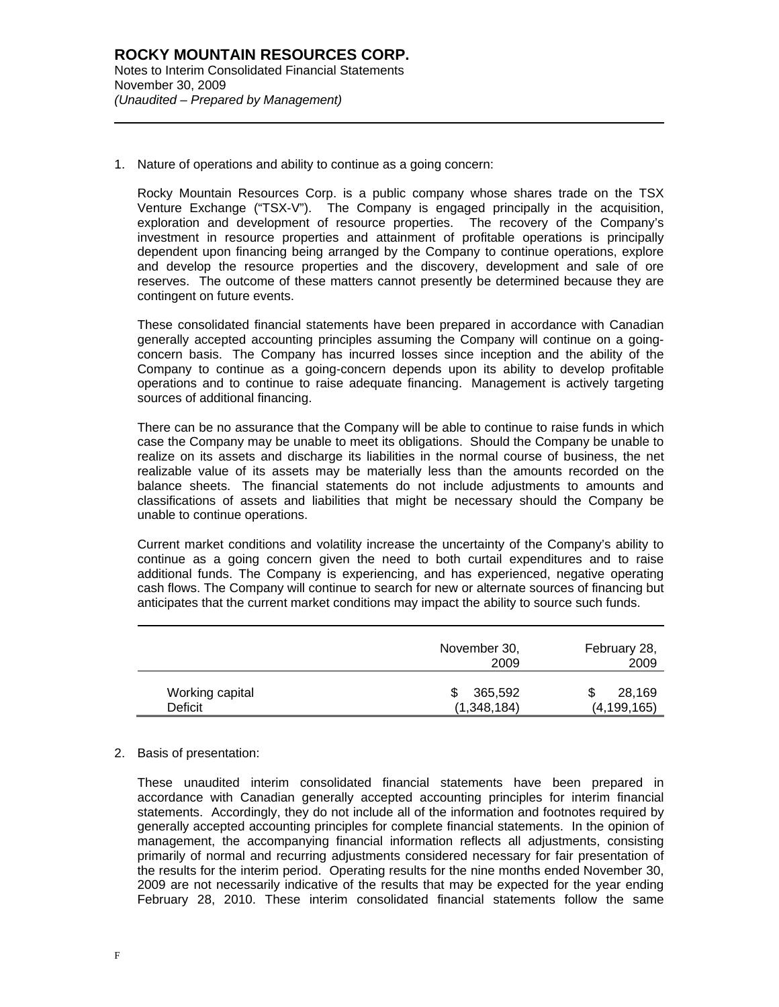l

1. Nature of operations and ability to continue as a going concern:

Rocky Mountain Resources Corp. is a public company whose shares trade on the TSX Venture Exchange ("TSX-V"). The Company is engaged principally in the acquisition, exploration and development of resource properties. The recovery of the Company's investment in resource properties and attainment of profitable operations is principally dependent upon financing being arranged by the Company to continue operations, explore and develop the resource properties and the discovery, development and sale of ore reserves. The outcome of these matters cannot presently be determined because they are contingent on future events.

These consolidated financial statements have been prepared in accordance with Canadian generally accepted accounting principles assuming the Company will continue on a goingconcern basis. The Company has incurred losses since inception and the ability of the Company to continue as a going-concern depends upon its ability to develop profitable operations and to continue to raise adequate financing. Management is actively targeting sources of additional financing.

There can be no assurance that the Company will be able to continue to raise funds in which case the Company may be unable to meet its obligations. Should the Company be unable to realize on its assets and discharge its liabilities in the normal course of business, the net realizable value of its assets may be materially less than the amounts recorded on the balance sheets. The financial statements do not include adjustments to amounts and classifications of assets and liabilities that might be necessary should the Company be unable to continue operations.

Current market conditions and volatility increase the uncertainty of the Company's ability to continue as a going concern given the need to both curtail expenditures and to raise additional funds. The Company is experiencing, and has experienced, negative operating cash flows. The Company will continue to search for new or alternate sources of financing but anticipates that the current market conditions may impact the ability to source such funds.

|                 | November 30,<br>2009 | February 28,<br>2009 |
|-----------------|----------------------|----------------------|
| Working capital | 365,592              | 28,169               |
| Deficit         | (1,348,184)          | (4, 199, 165)        |

## 2. Basis of presentation:

These unaudited interim consolidated financial statements have been prepared in accordance with Canadian generally accepted accounting principles for interim financial statements. Accordingly, they do not include all of the information and footnotes required by generally accepted accounting principles for complete financial statements. In the opinion of management, the accompanying financial information reflects all adjustments, consisting primarily of normal and recurring adjustments considered necessary for fair presentation of the results for the interim period. Operating results for the nine months ended November 30, 2009 are not necessarily indicative of the results that may be expected for the year ending February 28, 2010. These interim consolidated financial statements follow the same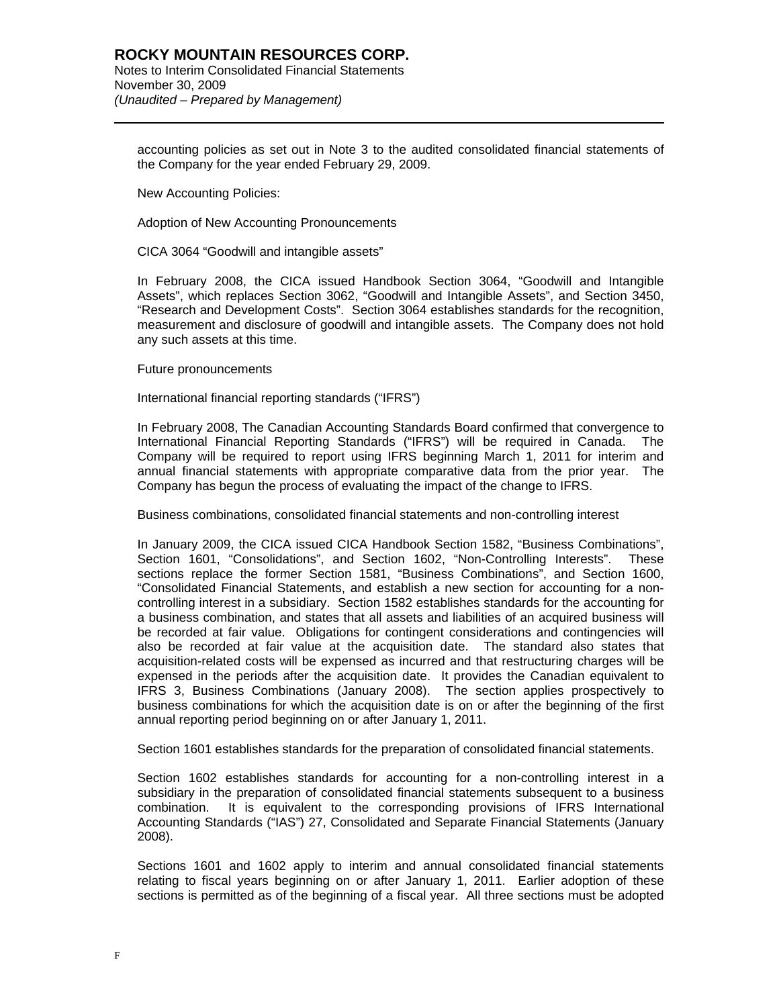accounting policies as set out in Note 3 to the audited consolidated financial statements of the Company for the year ended February 29, 2009.

New Accounting Policies:

l

Adoption of New Accounting Pronouncements

CICA 3064 "Goodwill and intangible assets"

In February 2008, the CICA issued Handbook Section 3064, "Goodwill and Intangible Assets", which replaces Section 3062, "Goodwill and Intangible Assets", and Section 3450, "Research and Development Costs". Section 3064 establishes standards for the recognition, measurement and disclosure of goodwill and intangible assets. The Company does not hold any such assets at this time.

Future pronouncements

International financial reporting standards ("IFRS")

In February 2008, The Canadian Accounting Standards Board confirmed that convergence to International Financial Reporting Standards ("IFRS") will be required in Canada. The Company will be required to report using IFRS beginning March 1, 2011 for interim and annual financial statements with appropriate comparative data from the prior year. The Company has begun the process of evaluating the impact of the change to IFRS.

Business combinations, consolidated financial statements and non-controlling interest

In January 2009, the CICA issued CICA Handbook Section 1582, "Business Combinations", Section 1601, "Consolidations", and Section 1602, "Non-Controlling Interests". These sections replace the former Section 1581, "Business Combinations", and Section 1600, "Consolidated Financial Statements, and establish a new section for accounting for a noncontrolling interest in a subsidiary. Section 1582 establishes standards for the accounting for a business combination, and states that all assets and liabilities of an acquired business will be recorded at fair value. Obligations for contingent considerations and contingencies will also be recorded at fair value at the acquisition date. The standard also states that acquisition-related costs will be expensed as incurred and that restructuring charges will be expensed in the periods after the acquisition date. It provides the Canadian equivalent to IFRS 3, Business Combinations (January 2008). The section applies prospectively to business combinations for which the acquisition date is on or after the beginning of the first annual reporting period beginning on or after January 1, 2011.

Section 1601 establishes standards for the preparation of consolidated financial statements.

Section 1602 establishes standards for accounting for a non-controlling interest in a subsidiary in the preparation of consolidated financial statements subsequent to a business combination. It is equivalent to the corresponding provisions of IFRS International Accounting Standards ("IAS") 27, Consolidated and Separate Financial Statements (January 2008).

Sections 1601 and 1602 apply to interim and annual consolidated financial statements relating to fiscal years beginning on or after January 1, 2011. Earlier adoption of these sections is permitted as of the beginning of a fiscal year. All three sections must be adopted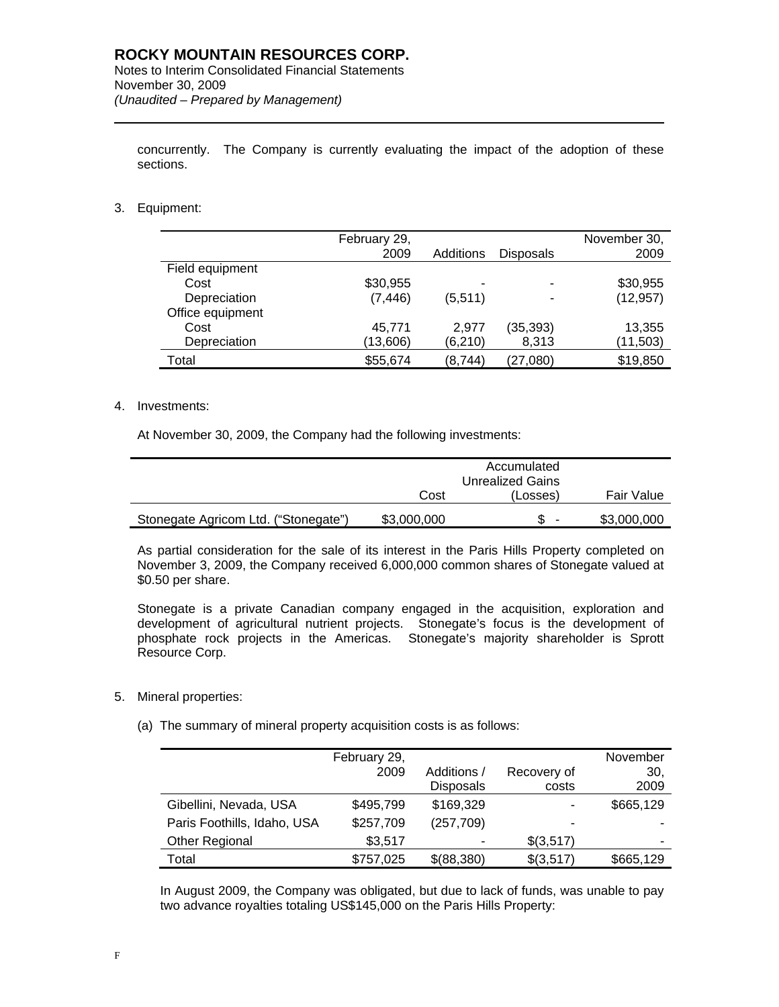concurrently. The Company is currently evaluating the impact of the adoption of these sections.

3. Equipment:

l

|                  | February 29,<br>2009 | Additions | <b>Disposals</b> | November 30,<br>2009 |
|------------------|----------------------|-----------|------------------|----------------------|
| Field equipment  |                      |           |                  |                      |
| Cost             | \$30,955             |           |                  | \$30,955             |
| Depreciation     | (7, 446)             | (5,511)   | -                | (12, 957)            |
| Office equipment |                      |           |                  |                      |
| Cost             | 45,771               | 2.977     | (35, 393)        | 13,355               |
| Depreciation     | (13,606)             | (6, 210)  | 8,313            | (11,503)             |
| Total            | \$55,674             | (8,744)   | (27,080)         | \$19,850             |

## 4. Investments:

At November 30, 2009, the Company had the following investments:

|                                      | Cost        | (Losses) | Fair Value  |
|--------------------------------------|-------------|----------|-------------|
| Stonegate Agricom Ltd. ("Stonegate") | \$3,000,000 | -        | \$3,000,000 |

As partial consideration for the sale of its interest in the Paris Hills Property completed on November 3, 2009, the Company received 6,000,000 common shares of Stonegate valued at \$0.50 per share.

Stonegate is a private Canadian company engaged in the acquisition, exploration and development of agricultural nutrient projects. Stonegate's focus is the development of phosphate rock projects in the Americas. Stonegate's majority shareholder is Sprott Resource Corp.

- 5. Mineral properties:
	- (a) The summary of mineral property acquisition costs is as follows:

|                             | February 29,<br>2009 | Additions /<br><b>Disposals</b> | Recovery of<br>costs | November<br>30,<br>2009 |
|-----------------------------|----------------------|---------------------------------|----------------------|-------------------------|
| Gibellini, Nevada, USA      | \$495,799            | \$169,329                       | ۰                    | \$665,129               |
| Paris Foothills, Idaho, USA | \$257,709            | (257, 709)                      | ۰                    |                         |
| <b>Other Regional</b>       | \$3,517              |                                 | \$(3,517)            |                         |
| Total                       | \$757,025            | \$(88,380)                      | \$(3,517)            | \$665,129               |

In August 2009, the Company was obligated, but due to lack of funds, was unable to pay two advance royalties totaling US\$145,000 on the Paris Hills Property: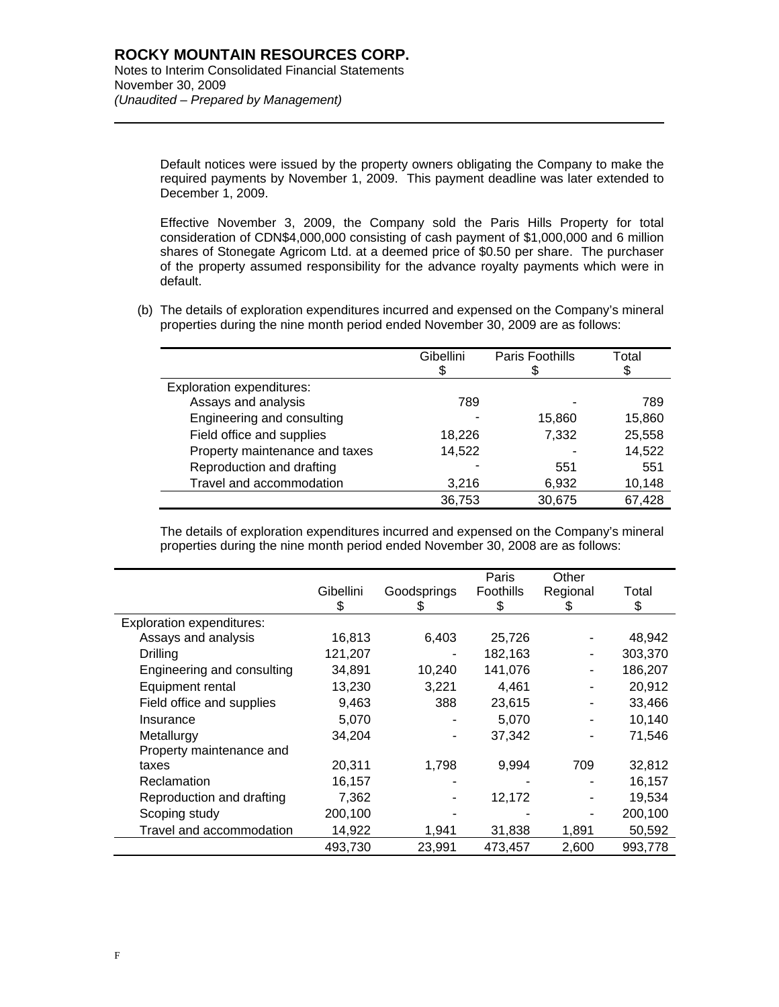l

Default notices were issued by the property owners obligating the Company to make the required payments by November 1, 2009. This payment deadline was later extended to December 1, 2009.

Effective November 3, 2009, the Company sold the Paris Hills Property for total consideration of CDN\$4,000,000 consisting of cash payment of \$1,000,000 and 6 million shares of Stonegate Agricom Ltd. at a deemed price of \$0.50 per share. The purchaser of the property assumed responsibility for the advance royalty payments which were in default.

(b) The details of exploration expenditures incurred and expensed on the Company's mineral properties during the nine month period ended November 30, 2009 are as follows:

|                                  | Gibellini | Paris Foothills | Total<br>\$ |
|----------------------------------|-----------|-----------------|-------------|
| <b>Exploration expenditures:</b> |           |                 |             |
| Assays and analysis              | 789       |                 | 789         |
| Engineering and consulting       |           | 15,860          | 15,860      |
| Field office and supplies        | 18,226    | 7,332           | 25,558      |
| Property maintenance and taxes   | 14,522    |                 | 14,522      |
| Reproduction and drafting        |           | 551             | 551         |
| Travel and accommodation         | 3,216     | 6,932           | 10,148      |
|                                  | 36,753    | 30,675          | 67,428      |

The details of exploration expenditures incurred and expensed on the Company's mineral properties during the nine month period ended November 30, 2008 are as follows:

|                                  |           |             | Paris     | Other    |         |
|----------------------------------|-----------|-------------|-----------|----------|---------|
|                                  | Gibellini | Goodsprings | Foothills | Regional | Total   |
|                                  | S         | Ж           | S         | Ъ        | \$      |
| <b>Exploration expenditures:</b> |           |             |           |          |         |
| Assays and analysis              | 16,813    | 6,403       | 25,726    |          | 48,942  |
| Drilling                         | 121,207   |             | 182,163   |          | 303,370 |
| Engineering and consulting       | 34,891    | 10,240      | 141,076   |          | 186,207 |
| Equipment rental                 | 13,230    | 3,221       | 4,461     |          | 20,912  |
| Field office and supplies        | 9,463     | 388         | 23,615    |          | 33,466  |
| Insurance                        | 5,070     |             | 5,070     |          | 10,140  |
| Metallurgy                       | 34,204    |             | 37,342    |          | 71,546  |
| Property maintenance and         |           |             |           |          |         |
| taxes                            | 20,311    | 1,798       | 9,994     | 709      | 32,812  |
| Reclamation                      | 16,157    |             |           |          | 16,157  |
| Reproduction and drafting        | 7,362     |             | 12,172    |          | 19,534  |
| Scoping study                    | 200,100   |             |           |          | 200,100 |
| Travel and accommodation         | 14,922    | 1,941       | 31,838    | 1,891    | 50,592  |
|                                  | 493,730   | 23,991      | 473,457   | 2,600    | 993,778 |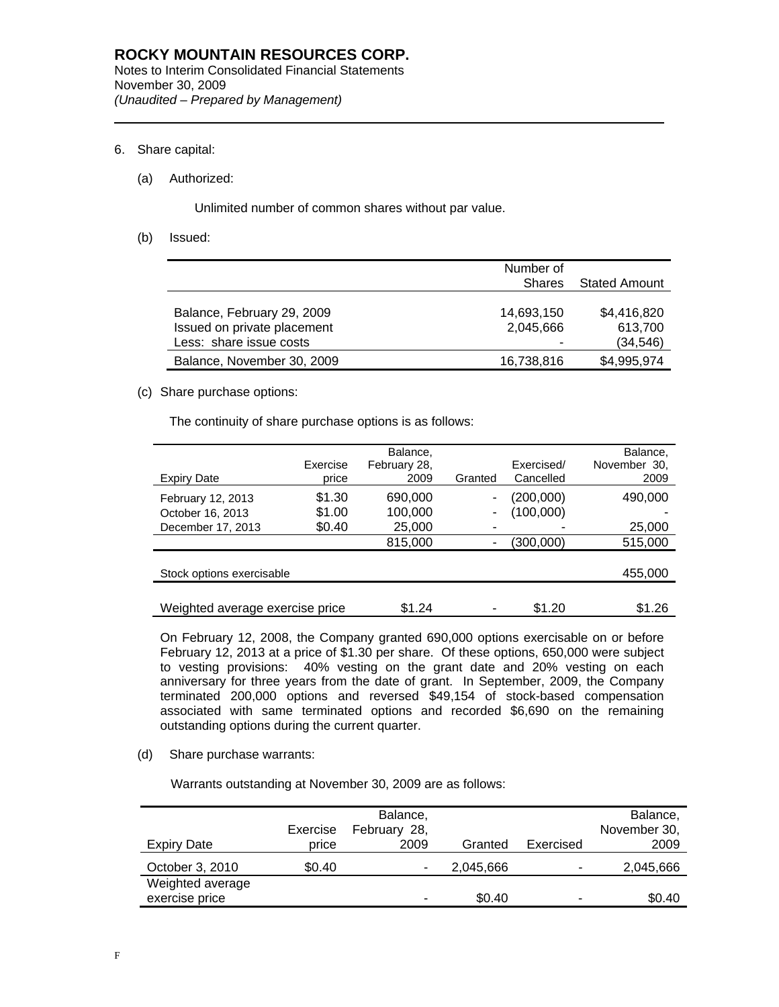## 6. Share capital:

l

## (a) Authorized:

Unlimited number of common shares without par value.

(b) Issued:

|                                                                                      | Number of<br><b>Shares</b>   | <b>Stated Amount</b>                |
|--------------------------------------------------------------------------------------|------------------------------|-------------------------------------|
| Balance, February 29, 2009<br>Issued on private placement<br>Less: share issue costs | 14,693,150<br>2,045,666<br>- | \$4,416,820<br>613,700<br>(34, 546) |
| Balance, November 30, 2009                                                           | 16,738,816                   | \$4,995,974                         |

## (c) Share purchase options:

The continuity of share purchase options is as follows:

| <b>Expiry Date</b>                                         | Exercise<br>price          | Balance,<br>February 28,<br>2009 | Granted | Exercised/<br>Cancelled | Balance,<br>November 30,<br>2009 |
|------------------------------------------------------------|----------------------------|----------------------------------|---------|-------------------------|----------------------------------|
| February 12, 2013<br>October 16, 2013<br>December 17, 2013 | \$1.30<br>\$1.00<br>\$0.40 | 690,000<br>100,000<br>25,000     |         | (200,000)<br>(100,000)  | 490,000<br>25,000                |
|                                                            |                            | 815,000                          |         | (300,000)               | 515,000                          |
| Stock options exercisable                                  |                            |                                  |         |                         | 455,000                          |
| Weighted average exercise price                            |                            | \$1.24                           |         | \$1.20                  | \$1.26                           |

On February 12, 2008, the Company granted 690,000 options exercisable on or before February 12, 2013 at a price of \$1.30 per share. Of these options, 650,000 were subject to vesting provisions: 40% vesting on the grant date and 20% vesting on each anniversary for three years from the date of grant. In September, 2009, the Company terminated 200,000 options and reversed \$49,154 of stock-based compensation associated with same terminated options and recorded \$6,690 on the remaining outstanding options during the current quarter.

(d) Share purchase warrants:

Warrants outstanding at November 30, 2009 are as follows:

| Expiry Date                        | Exercise<br>price | Balance,<br>February 28,<br>2009 | Granted   | Exercised | Balance,<br>November 30,<br>2009 |
|------------------------------------|-------------------|----------------------------------|-----------|-----------|----------------------------------|
| October 3, 2010                    | \$0.40            |                                  | 2,045,666 | -         | 2,045,666                        |
| Weighted average<br>exercise price |                   | -                                | \$0.40    | -         | \$0.40                           |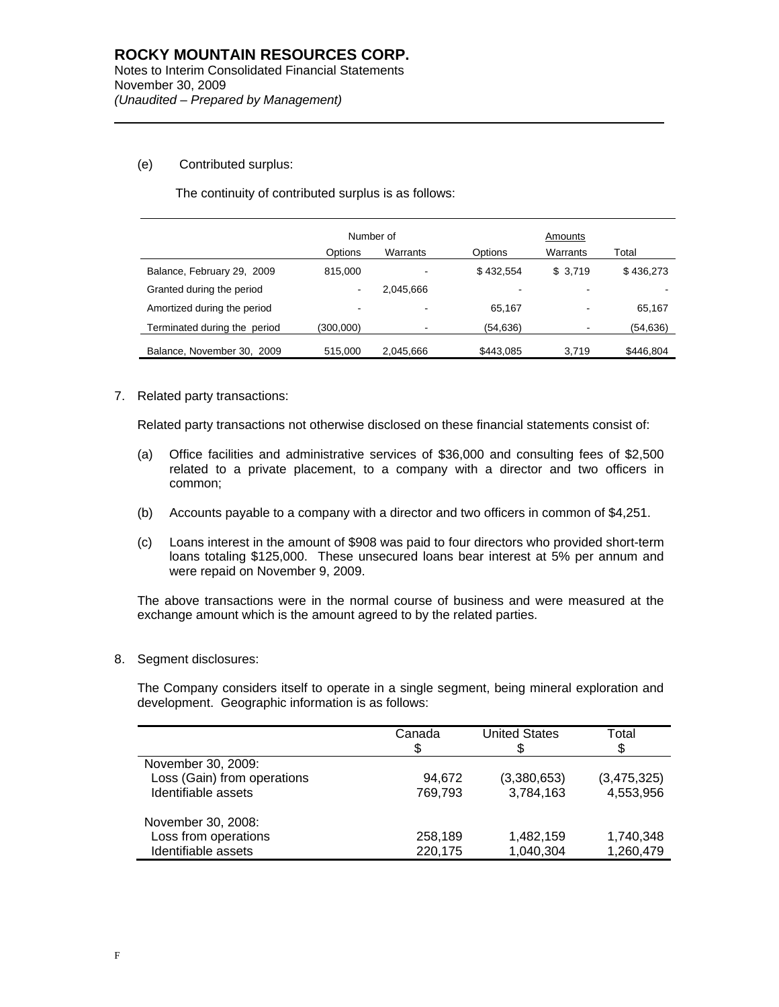## (e) Contributed surplus:

l

The continuity of contributed surplus is as follows:

|                              | Number of |           |           | Amounts  |           |  |
|------------------------------|-----------|-----------|-----------|----------|-----------|--|
|                              | Options   | Warrants  | Options   | Warrants | Total     |  |
| Balance, February 29, 2009   | 815,000   |           | \$432.554 | \$3,719  | \$436,273 |  |
| Granted during the period    | $\,$      | 2.045.666 |           | -        |           |  |
| Amortized during the period  | -         |           | 65.167    | ٠        | 65.167    |  |
| Terminated during the period | (300,000) |           | (54, 636) | ۰        | (54,636)  |  |
| Balance, November 30, 2009   | 515,000   | 2,045,666 | \$443,085 | 3.719    | \$446,804 |  |

## 7. Related party transactions:

Related party transactions not otherwise disclosed on these financial statements consist of:

- (a) Office facilities and administrative services of \$36,000 and consulting fees of \$2,500 related to a private placement, to a company with a director and two officers in common;
- (b) Accounts payable to a company with a director and two officers in common of \$4,251.
- (c) Loans interest in the amount of \$908 was paid to four directors who provided short-term loans totaling \$125,000. These unsecured loans bear interest at 5% per annum and were repaid on November 9, 2009.

The above transactions were in the normal course of business and were measured at the exchange amount which is the amount agreed to by the related parties.

8. Segment disclosures:

The Company considers itself to operate in a single segment, being mineral exploration and development. Geographic information is as follows:

|                             | Canada<br>S | <b>United States</b> | Total<br>\$ |
|-----------------------------|-------------|----------------------|-------------|
| November 30, 2009:          |             |                      |             |
| Loss (Gain) from operations | 94.672      | (3,380,653)          | (3,475,325) |
| Identifiable assets         | 769.793     | 3,784,163            | 4,553,956   |
| November 30, 2008:          |             |                      |             |
| Loss from operations        | 258,189     | 1,482,159            | 1,740,348   |
| Identifiable assets         | 220,175     | 1,040,304            | 1,260,479   |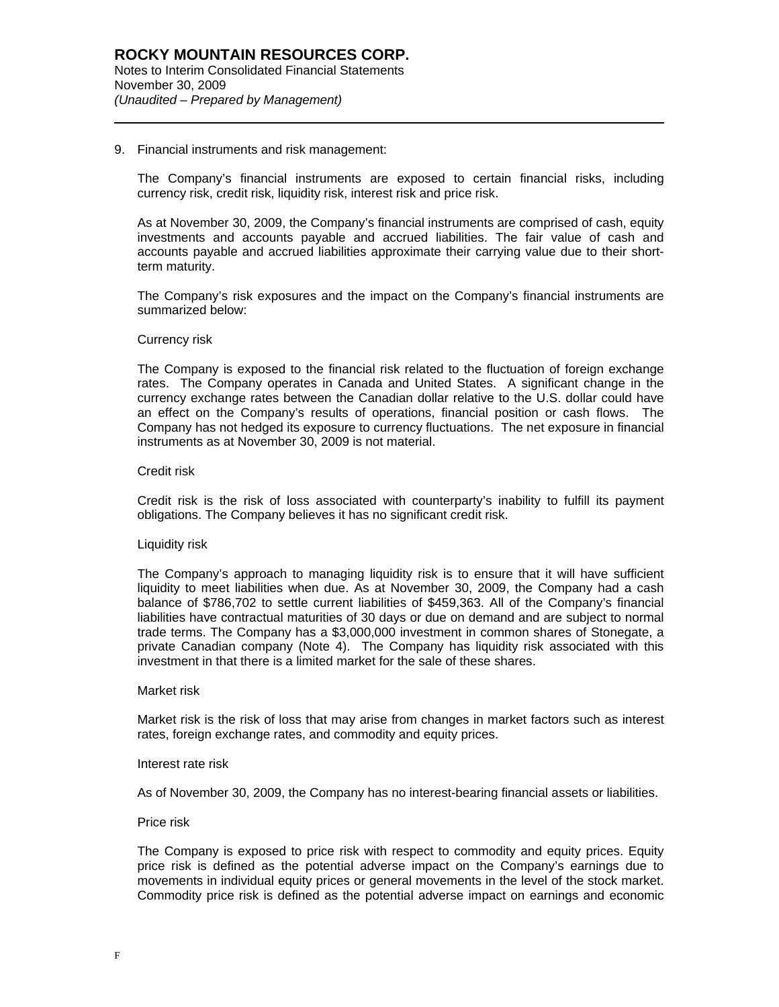#### 9. Financial instruments and risk management:

The Company's financial instruments are exposed to certain financial risks, including currency risk, credit risk, liquidity risk, interest risk and price risk.

As at November 30, 2009, the Company's financial instruments are comprised of cash, equity investments and accounts payable and accrued liabilities. The fair value of cash and accounts payable and accrued liabilities approximate their carrying value due to their shortterm maturity.

The Company's risk exposures and the impact on the Company's financial instruments are summarized below:

## Currency risk

l

The Company is exposed to the financial risk related to the fluctuation of foreign exchange rates. The Company operates in Canada and United States. A significant change in the currency exchange rates between the Canadian dollar relative to the U.S. dollar could have an effect on the Company's results of operations, financial position or cash flows. The Company has not hedged its exposure to currency fluctuations. The net exposure in financial instruments as at November 30, 2009 is not material.

#### Credit risk

Credit risk is the risk of loss associated with counterparty's inability to fulfill its payment obligations. The Company believes it has no significant credit risk.

#### Liquidity risk

The Company's approach to managing liquidity risk is to ensure that it will have sufficient liquidity to meet liabilities when due. As at November 30, 2009, the Company had a cash balance of \$786,702 to settle current liabilities of \$459,363. All of the Company's financial liabilities have contractual maturities of 30 days or due on demand and are subject to normal trade terms. The Company has a \$3,000,000 investment in common shares of Stonegate, a private Canadian company (Note 4). The Company has liquidity risk associated with this investment in that there is a limited market for the sale of these shares.

#### Market risk

Market risk is the risk of loss that may arise from changes in market factors such as interest rates, foreign exchange rates, and commodity and equity prices.

#### Interest rate risk

As of November 30, 2009, the Company has no interest-bearing financial assets or liabilities.

#### Price risk

The Company is exposed to price risk with respect to commodity and equity prices. Equity price risk is defined as the potential adverse impact on the Company's earnings due to movements in individual equity prices or general movements in the level of the stock market. Commodity price risk is defined as the potential adverse impact on earnings and economic